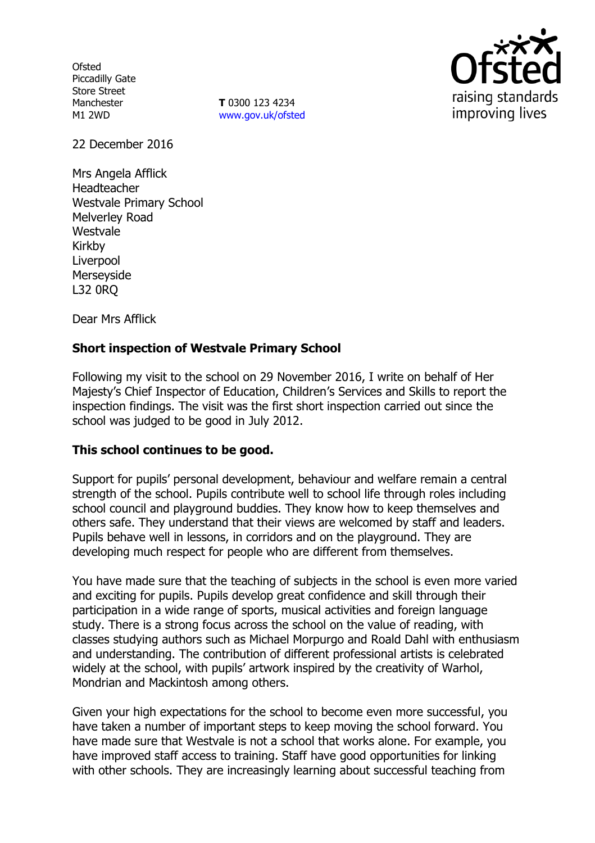**Ofsted** Piccadilly Gate Store Street Manchester M1 2WD

**T** 0300 123 4234 www.gov.uk/ofsted



22 December 2016

Mrs Angela Afflick Headteacher Westvale Primary School Melverley Road Westvale Kirkby Liverpool Merseyside L32 0RQ

Dear Mrs Afflick

### **Short inspection of Westvale Primary School**

Following my visit to the school on 29 November 2016, I write on behalf of Her Majesty's Chief Inspector of Education, Children's Services and Skills to report the inspection findings. The visit was the first short inspection carried out since the school was judged to be good in July 2012.

### **This school continues to be good.**

Support for pupils' personal development, behaviour and welfare remain a central strength of the school. Pupils contribute well to school life through roles including school council and playground buddies. They know how to keep themselves and others safe. They understand that their views are welcomed by staff and leaders. Pupils behave well in lessons, in corridors and on the playground. They are developing much respect for people who are different from themselves.

You have made sure that the teaching of subjects in the school is even more varied and exciting for pupils. Pupils develop great confidence and skill through their participation in a wide range of sports, musical activities and foreign language study. There is a strong focus across the school on the value of reading, with classes studying authors such as Michael Morpurgo and Roald Dahl with enthusiasm and understanding. The contribution of different professional artists is celebrated widely at the school, with pupils' artwork inspired by the creativity of Warhol, Mondrian and Mackintosh among others.

Given your high expectations for the school to become even more successful, you have taken a number of important steps to keep moving the school forward. You have made sure that Westvale is not a school that works alone. For example, you have improved staff access to training. Staff have good opportunities for linking with other schools. They are increasingly learning about successful teaching from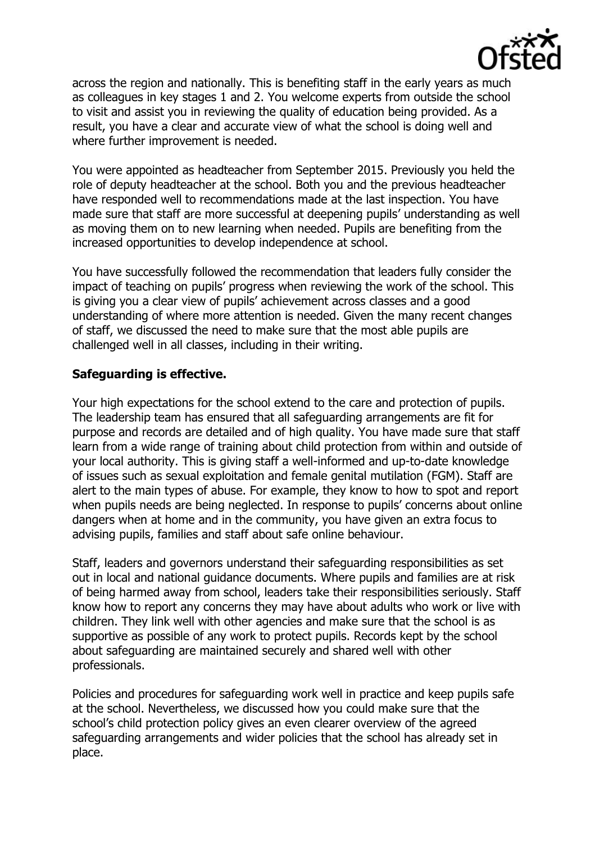

across the region and nationally. This is benefiting staff in the early years as much as colleagues in key stages 1 and 2. You welcome experts from outside the school to visit and assist you in reviewing the quality of education being provided. As a result, you have a clear and accurate view of what the school is doing well and where further improvement is needed.

You were appointed as headteacher from September 2015. Previously you held the role of deputy headteacher at the school. Both you and the previous headteacher have responded well to recommendations made at the last inspection. You have made sure that staff are more successful at deepening pupils' understanding as well as moving them on to new learning when needed. Pupils are benefiting from the increased opportunities to develop independence at school.

You have successfully followed the recommendation that leaders fully consider the impact of teaching on pupils' progress when reviewing the work of the school. This is giving you a clear view of pupils' achievement across classes and a good understanding of where more attention is needed. Given the many recent changes of staff, we discussed the need to make sure that the most able pupils are challenged well in all classes, including in their writing.

# **Safeguarding is effective.**

Your high expectations for the school extend to the care and protection of pupils. The leadership team has ensured that all safeguarding arrangements are fit for purpose and records are detailed and of high quality. You have made sure that staff learn from a wide range of training about child protection from within and outside of your local authority. This is giving staff a well-informed and up-to-date knowledge of issues such as sexual exploitation and female genital mutilation (FGM). Staff are alert to the main types of abuse. For example, they know to how to spot and report when pupils needs are being neglected. In response to pupils' concerns about online dangers when at home and in the community, you have given an extra focus to advising pupils, families and staff about safe online behaviour.

Staff, leaders and governors understand their safeguarding responsibilities as set out in local and national guidance documents. Where pupils and families are at risk of being harmed away from school, leaders take their responsibilities seriously. Staff know how to report any concerns they may have about adults who work or live with children. They link well with other agencies and make sure that the school is as supportive as possible of any work to protect pupils. Records kept by the school about safeguarding are maintained securely and shared well with other professionals.

Policies and procedures for safeguarding work well in practice and keep pupils safe at the school. Nevertheless, we discussed how you could make sure that the school's child protection policy gives an even clearer overview of the agreed safeguarding arrangements and wider policies that the school has already set in place.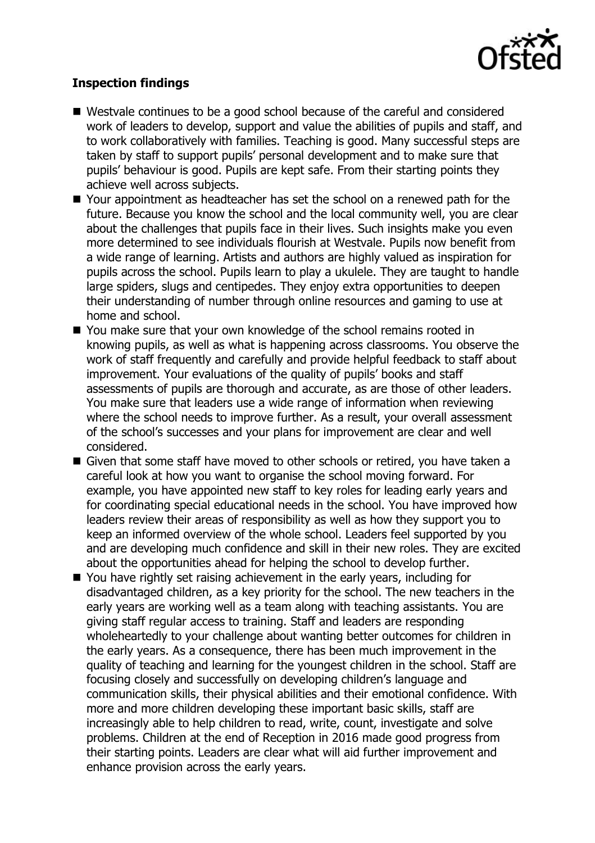

# **Inspection findings**

- Westvale continues to be a good school because of the careful and considered work of leaders to develop, support and value the abilities of pupils and staff, and to work collaboratively with families. Teaching is good. Many successful steps are taken by staff to support pupils' personal development and to make sure that pupils' behaviour is good. Pupils are kept safe. From their starting points they achieve well across subjects.
- Your appointment as headteacher has set the school on a renewed path for the future. Because you know the school and the local community well, you are clear about the challenges that pupils face in their lives. Such insights make you even more determined to see individuals flourish at Westvale. Pupils now benefit from a wide range of learning. Artists and authors are highly valued as inspiration for pupils across the school. Pupils learn to play a ukulele. They are taught to handle large spiders, slugs and centipedes. They enjoy extra opportunities to deepen their understanding of number through online resources and gaming to use at home and school.
- You make sure that your own knowledge of the school remains rooted in knowing pupils, as well as what is happening across classrooms. You observe the work of staff frequently and carefully and provide helpful feedback to staff about improvement. Your evaluations of the quality of pupils' books and staff assessments of pupils are thorough and accurate, as are those of other leaders. You make sure that leaders use a wide range of information when reviewing where the school needs to improve further. As a result, your overall assessment of the school's successes and your plans for improvement are clear and well considered.
- **E** Given that some staff have moved to other schools or retired, you have taken a careful look at how you want to organise the school moving forward. For example, you have appointed new staff to key roles for leading early years and for coordinating special educational needs in the school. You have improved how leaders review their areas of responsibility as well as how they support you to keep an informed overview of the whole school. Leaders feel supported by you and are developing much confidence and skill in their new roles. They are excited about the opportunities ahead for helping the school to develop further.
- You have rightly set raising achievement in the early years, including for disadvantaged children, as a key priority for the school. The new teachers in the early years are working well as a team along with teaching assistants. You are giving staff regular access to training. Staff and leaders are responding wholeheartedly to your challenge about wanting better outcomes for children in the early years. As a consequence, there has been much improvement in the quality of teaching and learning for the youngest children in the school. Staff are focusing closely and successfully on developing children's language and communication skills, their physical abilities and their emotional confidence. With more and more children developing these important basic skills, staff are increasingly able to help children to read, write, count, investigate and solve problems. Children at the end of Reception in 2016 made good progress from their starting points. Leaders are clear what will aid further improvement and enhance provision across the early years.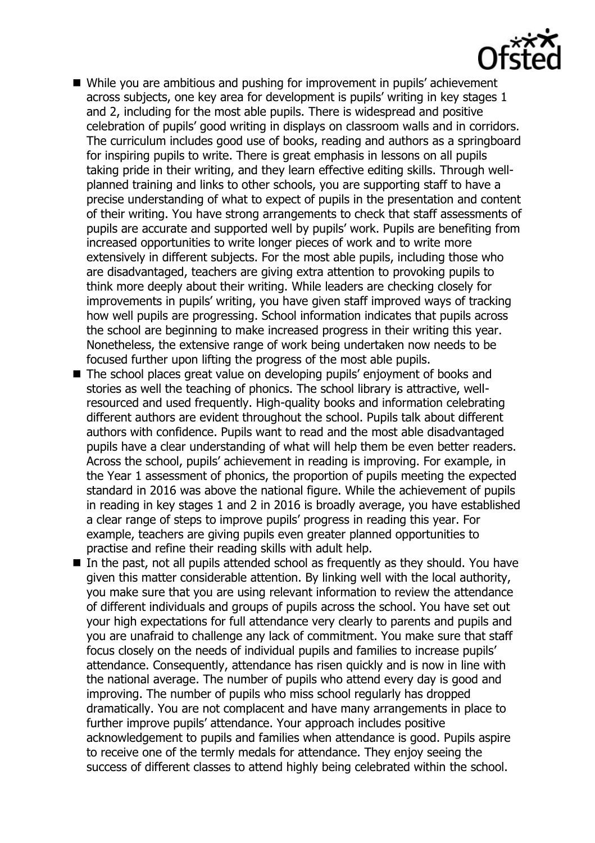

- While you are ambitious and pushing for improvement in pupils' achievement across subjects, one key area for development is pupils' writing in key stages 1 and 2, including for the most able pupils. There is widespread and positive celebration of pupils' good writing in displays on classroom walls and in corridors. The curriculum includes good use of books, reading and authors as a springboard for inspiring pupils to write. There is great emphasis in lessons on all pupils taking pride in their writing, and they learn effective editing skills. Through wellplanned training and links to other schools, you are supporting staff to have a precise understanding of what to expect of pupils in the presentation and content of their writing. You have strong arrangements to check that staff assessments of pupils are accurate and supported well by pupils' work. Pupils are benefiting from increased opportunities to write longer pieces of work and to write more extensively in different subjects. For the most able pupils, including those who are disadvantaged, teachers are giving extra attention to provoking pupils to think more deeply about their writing. While leaders are checking closely for improvements in pupils' writing, you have given staff improved ways of tracking how well pupils are progressing. School information indicates that pupils across the school are beginning to make increased progress in their writing this year. Nonetheless, the extensive range of work being undertaken now needs to be focused further upon lifting the progress of the most able pupils.
- The school places great value on developing pupils' enjoyment of books and stories as well the teaching of phonics. The school library is attractive, wellresourced and used frequently. High-quality books and information celebrating different authors are evident throughout the school. Pupils talk about different authors with confidence. Pupils want to read and the most able disadvantaged pupils have a clear understanding of what will help them be even better readers. Across the school, pupils' achievement in reading is improving. For example, in the Year 1 assessment of phonics, the proportion of pupils meeting the expected standard in 2016 was above the national figure. While the achievement of pupils in reading in key stages 1 and 2 in 2016 is broadly average, you have established a clear range of steps to improve pupils' progress in reading this year. For example, teachers are giving pupils even greater planned opportunities to practise and refine their reading skills with adult help.
- $\blacksquare$  In the past, not all pupils attended school as frequently as they should. You have given this matter considerable attention. By linking well with the local authority, you make sure that you are using relevant information to review the attendance of different individuals and groups of pupils across the school. You have set out your high expectations for full attendance very clearly to parents and pupils and you are unafraid to challenge any lack of commitment. You make sure that staff focus closely on the needs of individual pupils and families to increase pupils' attendance. Consequently, attendance has risen quickly and is now in line with the national average. The number of pupils who attend every day is good and improving. The number of pupils who miss school regularly has dropped dramatically. You are not complacent and have many arrangements in place to further improve pupils' attendance. Your approach includes positive acknowledgement to pupils and families when attendance is good. Pupils aspire to receive one of the termly medals for attendance. They enjoy seeing the success of different classes to attend highly being celebrated within the school.